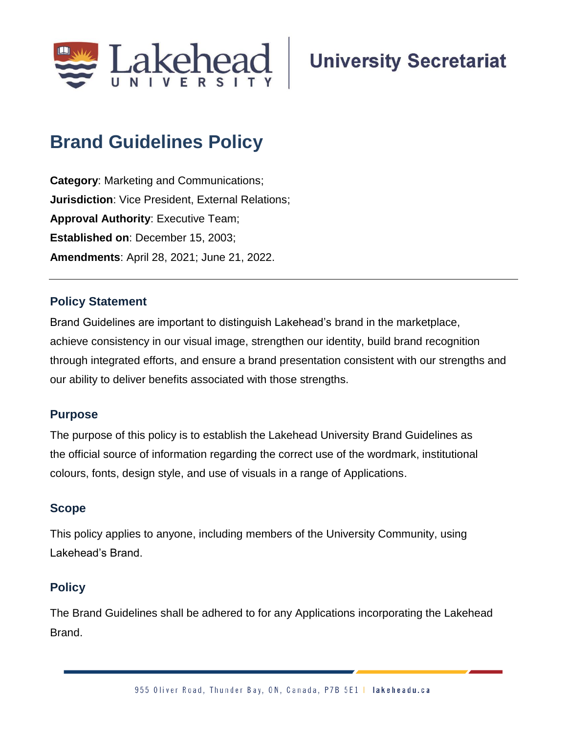

# **University Secretariat**

# **Brand Guidelines Policy**

**Category**: Marketing and Communications; **Jurisdiction**: Vice President, External Relations; **Approval Authority**: Executive Team; **Established on**: December 15, 2003; **Amendments**: April 28, 2021; June 21, 2022.

### **Policy Statement**

Brand Guidelines are important to distinguish Lakehead's brand in the marketplace, achieve consistency in our visual image, strengthen our identity, build brand recognition through integrated efforts, and ensure a brand presentation consistent with our strengths and our ability to deliver benefits associated with those strengths.

#### **Purpose**

The purpose of this policy is to establish the Lakehead University Brand Guidelines as the official source of information regarding the correct use of the wordmark, institutional colours, fonts, design style, and use of visuals in a range of Applications.

#### **Scope**

This policy applies to anyone, including members of the University Community, using Lakehead's Brand.

# **Policy**

The Brand Guidelines shall be adhered to for any Applications incorporating the Lakehead Brand.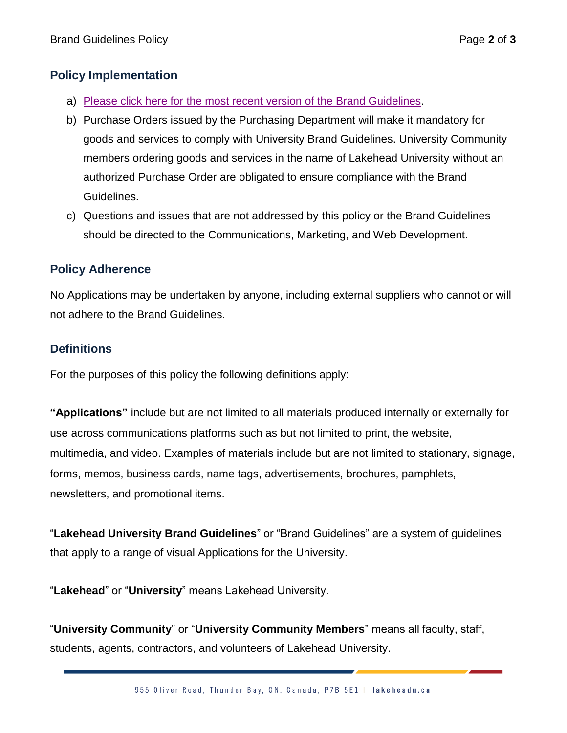## **Policy Implementation**

- a) [Please click here for the most recent version of the Brand Guidelines.](https://www.lakeheadu.ca/faculty-and-staff/departments/services/marketing-communications/marketing/brand-guidelines)
- b) Purchase Orders issued by the Purchasing Department will make it mandatory for goods and services to comply with University Brand Guidelines. University Community members ordering goods and services in the name of Lakehead University without an authorized Purchase Order are obligated to ensure compliance with the Brand Guidelines.
- c) Questions and issues that are not addressed by this policy or the Brand Guidelines should be directed to the Communications, Marketing, and Web Development.

#### **Policy Adherence**

No Applications may be undertaken by anyone, including external suppliers who cannot or will not adhere to the Brand Guidelines.

#### **Definitions**

For the purposes of this policy the following definitions apply:

**"Applications"** include but are not limited to all materials produced internally or externally for use across communications platforms such as but not limited to print, the website, multimedia, and video. Examples of materials include but are not limited to stationary, signage, forms, memos, business cards, name tags, advertisements, brochures, pamphlets, newsletters, and promotional items.

"**Lakehead University Brand Guidelines**" or "Brand Guidelines" are a system of guidelines that apply to a range of visual Applications for the University.

"**Lakehead**" or "**University**" means Lakehead University.

"**University Community**" or "**University Community Members**" means all faculty, staff, students, agents, contractors, and volunteers of Lakehead University.